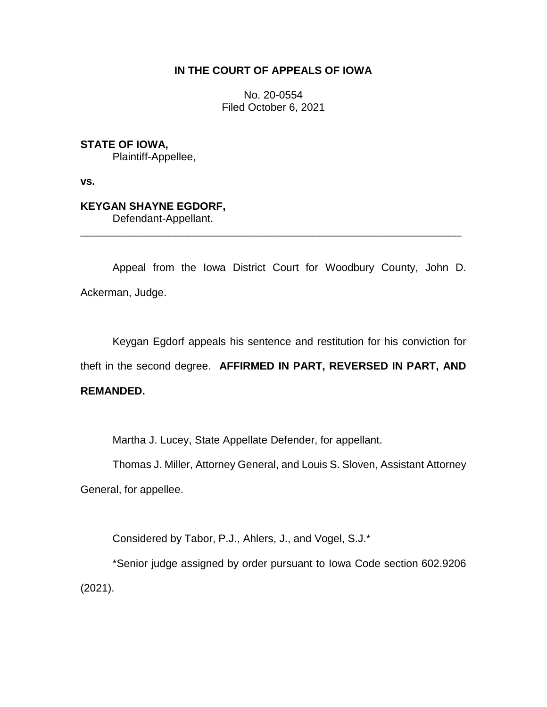## **IN THE COURT OF APPEALS OF IOWA**

No. 20-0554 Filed October 6, 2021

**STATE OF IOWA,**

Plaintiff-Appellee,

**vs.**

## **KEYGAN SHAYNE EGDORF,**

Defendant-Appellant.

Appeal from the Iowa District Court for Woodbury County, John D. Ackerman, Judge.

\_\_\_\_\_\_\_\_\_\_\_\_\_\_\_\_\_\_\_\_\_\_\_\_\_\_\_\_\_\_\_\_\_\_\_\_\_\_\_\_\_\_\_\_\_\_\_\_\_\_\_\_\_\_\_\_\_\_\_\_\_\_\_\_

Keygan Egdorf appeals his sentence and restitution for his conviction for theft in the second degree. **AFFIRMED IN PART, REVERSED IN PART, AND REMANDED.**

Martha J. Lucey, State Appellate Defender, for appellant.

Thomas J. Miller, Attorney General, and Louis S. Sloven, Assistant Attorney General, for appellee.

Considered by Tabor, P.J., Ahlers, J., and Vogel, S.J.\*

\*Senior judge assigned by order pursuant to Iowa Code section 602.9206 (2021).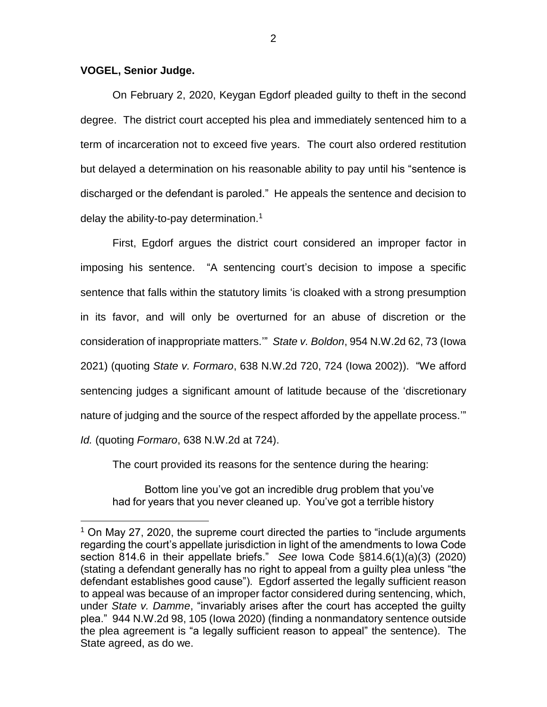## **VOGEL, Senior Judge.**

 $\overline{a}$ 

On February 2, 2020, Keygan Egdorf pleaded guilty to theft in the second degree. The district court accepted his plea and immediately sentenced him to a term of incarceration not to exceed five years. The court also ordered restitution but delayed a determination on his reasonable ability to pay until his "sentence is discharged or the defendant is paroled." He appeals the sentence and decision to delay the ability-to-pay determination.<sup>1</sup>

First, Egdorf argues the district court considered an improper factor in imposing his sentence. "A sentencing court's decision to impose a specific sentence that falls within the statutory limits 'is cloaked with a strong presumption in its favor, and will only be overturned for an abuse of discretion or the consideration of inappropriate matters.'" *State v. Boldon*, 954 N.W.2d 62, 73 (Iowa 2021) (quoting *State v. Formaro*, 638 N.W.2d 720, 724 (Iowa 2002)). "We afford sentencing judges a significant amount of latitude because of the 'discretionary nature of judging and the source of the respect afforded by the appellate process.'" *Id.* (quoting *Formaro*, 638 N.W.2d at 724).

The court provided its reasons for the sentence during the hearing:

Bottom line you've got an incredible drug problem that you've had for years that you never cleaned up. You've got a terrible history

<sup>&</sup>lt;sup>1</sup> On May 27, 2020, the supreme court directed the parties to "include arguments regarding the court's appellate jurisdiction in light of the amendments to Iowa Code section 814.6 in their appellate briefs." *See* Iowa Code §814.6(1)(a)(3) (2020) (stating a defendant generally has no right to appeal from a guilty plea unless "the defendant establishes good cause"). Egdorf asserted the legally sufficient reason to appeal was because of an improper factor considered during sentencing, which, under *State v. Damme*, "invariably arises after the court has accepted the guilty plea." 944 N.W.2d 98, 105 (Iowa 2020) (finding a nonmandatory sentence outside the plea agreement is "a legally sufficient reason to appeal" the sentence). The State agreed, as do we.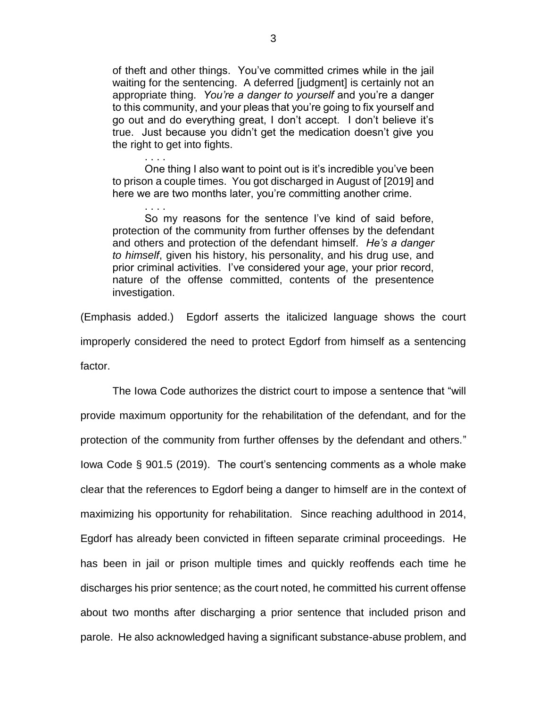of theft and other things. You've committed crimes while in the jail waiting for the sentencing. A deferred [judgment] is certainly not an appropriate thing. *You're a danger to yourself* and you're a danger to this community, and your pleas that you're going to fix yourself and go out and do everything great, I don't accept. I don't believe it's true. Just because you didn't get the medication doesn't give you the right to get into fights.

One thing I also want to point out is it's incredible you've been to prison a couple times. You got discharged in August of [2019] and here we are two months later, you're committing another crime.

. . . .

. . . .

So my reasons for the sentence I've kind of said before, protection of the community from further offenses by the defendant and others and protection of the defendant himself. *He's a danger to himself*, given his history, his personality, and his drug use, and prior criminal activities. I've considered your age, your prior record, nature of the offense committed, contents of the presentence investigation.

(Emphasis added.) Egdorf asserts the italicized language shows the court improperly considered the need to protect Egdorf from himself as a sentencing factor.

The Iowa Code authorizes the district court to impose a sentence that "will provide maximum opportunity for the rehabilitation of the defendant, and for the protection of the community from further offenses by the defendant and others." Iowa Code § 901.5 (2019). The court's sentencing comments as a whole make clear that the references to Egdorf being a danger to himself are in the context of maximizing his opportunity for rehabilitation. Since reaching adulthood in 2014, Egdorf has already been convicted in fifteen separate criminal proceedings. He has been in jail or prison multiple times and quickly reoffends each time he discharges his prior sentence; as the court noted, he committed his current offense about two months after discharging a prior sentence that included prison and parole. He also acknowledged having a significant substance-abuse problem, and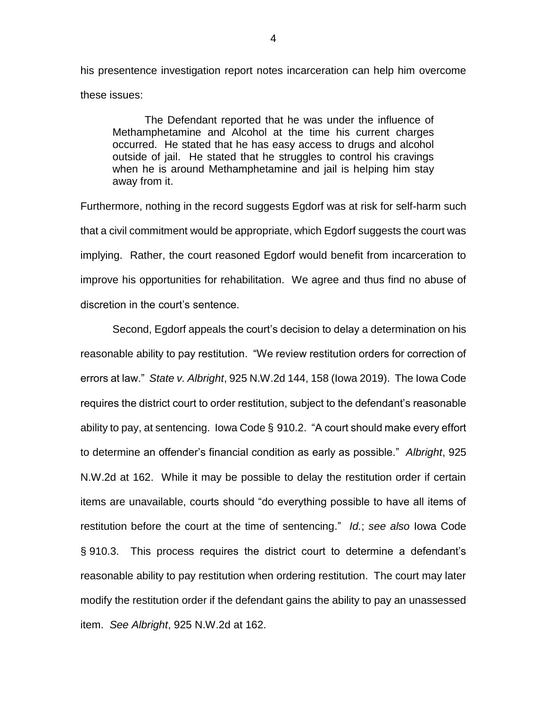his presentence investigation report notes incarceration can help him overcome these issues:

The Defendant reported that he was under the influence of Methamphetamine and Alcohol at the time his current charges occurred. He stated that he has easy access to drugs and alcohol outside of jail. He stated that he struggles to control his cravings when he is around Methamphetamine and jail is helping him stay away from it.

Furthermore, nothing in the record suggests Egdorf was at risk for self-harm such that a civil commitment would be appropriate, which Egdorf suggests the court was implying. Rather, the court reasoned Egdorf would benefit from incarceration to improve his opportunities for rehabilitation. We agree and thus find no abuse of discretion in the court's sentence.

Second, Egdorf appeals the court's decision to delay a determination on his reasonable ability to pay restitution. "We review restitution orders for correction of errors at law." *State v. Albright*, 925 N.W.2d 144, 158 (Iowa 2019). The Iowa Code requires the district court to order restitution, subject to the defendant's reasonable ability to pay, at sentencing. Iowa Code § 910.2. "A court should make every effort to determine an offender's financial condition as early as possible." *Albright*, 925 N.W.2d at 162. While it may be possible to delay the restitution order if certain items are unavailable, courts should "do everything possible to have all items of restitution before the court at the time of sentencing." *Id.*; *see also* Iowa Code § 910.3. This process requires the district court to determine a defendant's reasonable ability to pay restitution when ordering restitution. The court may later modify the restitution order if the defendant gains the ability to pay an unassessed item. *See Albright*, 925 N.W.2d at 162.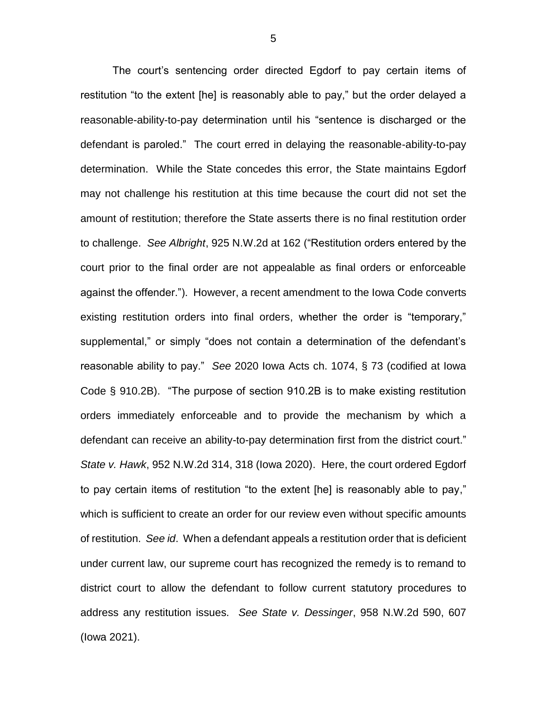The court's sentencing order directed Egdorf to pay certain items of restitution "to the extent [he] is reasonably able to pay," but the order delayed a reasonable-ability-to-pay determination until his "sentence is discharged or the defendant is paroled." The court erred in delaying the reasonable-ability-to-pay determination. While the State concedes this error, the State maintains Egdorf may not challenge his restitution at this time because the court did not set the amount of restitution; therefore the State asserts there is no final restitution order to challenge. *See Albright*, 925 N.W.2d at 162 ("Restitution orders entered by the court prior to the final order are not appealable as final orders or enforceable against the offender."). However, a recent amendment to the Iowa Code converts existing restitution orders into final orders, whether the order is "temporary," supplemental," or simply "does not contain a determination of the defendant's reasonable ability to pay." *See* 2020 Iowa Acts ch. 1074, § 73 (codified at Iowa Code § 910.2B). "The purpose of section 910.2B is to make existing restitution orders immediately enforceable and to provide the mechanism by which a defendant can receive an ability-to-pay determination first from the district court." *State v. Hawk*, 952 N.W.2d 314, 318 (Iowa 2020). Here, the court ordered Egdorf to pay certain items of restitution "to the extent [he] is reasonably able to pay," which is sufficient to create an order for our review even without specific amounts of restitution. *See id*. When a defendant appeals a restitution order that is deficient under current law, our supreme court has recognized the remedy is to remand to district court to allow the defendant to follow current statutory procedures to address any restitution issues. *See State v. Dessinger*, 958 N.W.2d 590, 607 (Iowa 2021).